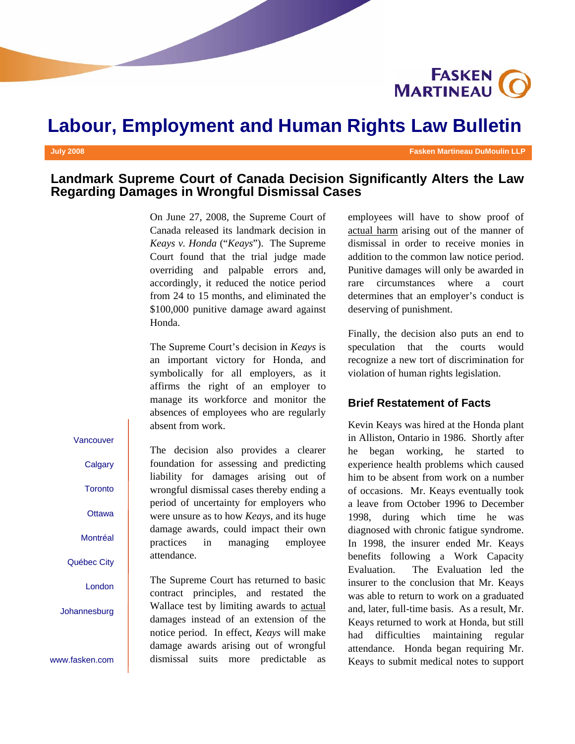

# **Labour, Employment and Human Rights Law Bulletin**

#### **July 2008 Fasken Martineau DuMoulin LLP**

# **Landmark Supreme Court of Canada Decision Significantly Alters the Law Regarding Damages in Wrongful Dismissal Cases**

On June 27, 2008, the Supreme Court of Canada released its landmark decision in *Keays v. Honda* ("*Keays*"). The Supreme Court found that the trial judge made overriding and palpable errors and, accordingly, it reduced the notice period from 24 to 15 months, and eliminated the \$100,000 punitive damage award against Honda.

The Supreme Court's decision in *Keays* is an important victory for Honda, and symbolically for all employers, as it affirms the right of an employer to manage its workforce and monitor the absences of employees who are regularly absent from work.

#### Vancouver

**Calgary** 

**Toronto** 

**Ottawa** 

Montréal

Québec City

London

Johannesburg

www.fasken.com

The decision also provides a clearer foundation for assessing and predicting liability for damages arising out of wrongful dismissal cases thereby ending a period of uncertainty for employers who were unsure as to how *Keays,* and its huge damage awards, could impact their own practices in managing employee attendance.

The Supreme Court has returned to basic contract principles, and restated the Wallace test by limiting awards to actual damages instead of an extension of the notice period. In effect, *Keays* will make damage awards arising out of wrongful dismissal suits more predictable as

employees will have to show proof of actual harm arising out of the manner of dismissal in order to receive monies in addition to the common law notice period. Punitive damages will only be awarded in rare circumstances where a court determines that an employer's conduct is deserving of punishment.

Finally, the decision also puts an end to speculation that the courts would recognize a new tort of discrimination for violation of human rights legislation.

### **Brief Restatement of Facts**

Kevin Keays was hired at the Honda plant in Alliston, Ontario in 1986. Shortly after he began working, he started to experience health problems which caused him to be absent from work on a number of occasions. Mr. Keays eventually took a leave from October 1996 to December 1998, during which time he was diagnosed with chronic fatigue syndrome. In 1998, the insurer ended Mr. Keays benefits following a Work Capacity Evaluation. The Evaluation led the insurer to the conclusion that Mr. Keays was able to return to work on a graduated and, later, full-time basis. As a result, Mr. Keays returned to work at Honda, but still had difficulties maintaining regular attendance. Honda began requiring Mr. Keays to submit medical notes to support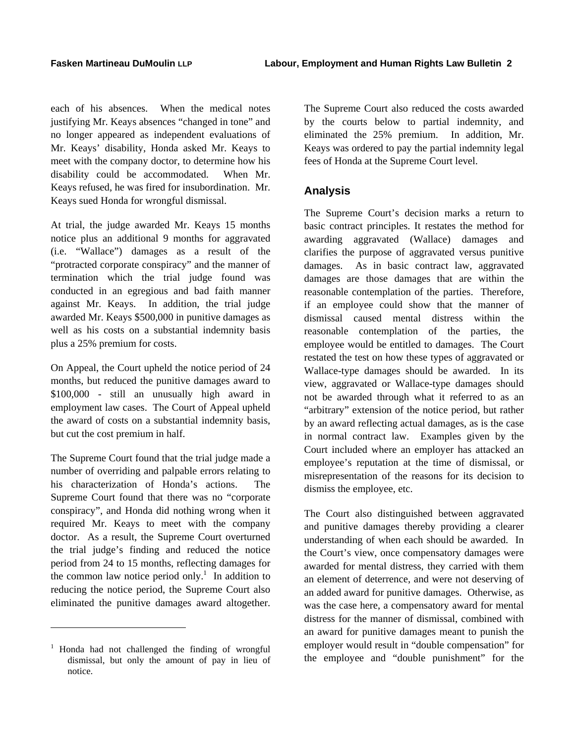each of his absences. When the medical notes justifying Mr. Keays absences "changed in tone" and no longer appeared as independent evaluations of Mr. Keays' disability, Honda asked Mr. Keays to meet with the company doctor, to determine how his disability could be accommodated. When Mr. Keays refused, he was fired for insubordination. Mr. Keays sued Honda for wrongful dismissal.

At trial, the judge awarded Mr. Keays 15 months notice plus an additional 9 months for aggravated (i.e. "Wallace") damages as a result of the "protracted corporate conspiracy" and the manner of termination which the trial judge found was conducted in an egregious and bad faith manner against Mr. Keays. In addition, the trial judge awarded Mr. Keays \$500,000 in punitive damages as well as his costs on a substantial indemnity basis plus a 25% premium for costs.

On Appeal, the Court upheld the notice period of 24 months, but reduced the punitive damages award to \$100,000 - still an unusually high award in employment law cases. The Court of Appeal upheld the award of costs on a substantial indemnity basis, but cut the cost premium in half.

The Supreme Court found that the trial judge made a number of overriding and palpable errors relating to his characterization of Honda's actions. The Supreme Court found that there was no "corporate conspiracy", and Honda did nothing wrong when it required Mr. Keays to meet with the company doctor. As a result, the Supreme Court overturned the trial judge's finding and reduced the notice period from 24 to 15 months, reflecting damages for the common law notice period only.<sup>1</sup> In addition to reducing the notice period, the Supreme Court also eliminated the punitive damages award altogether.

1

The Supreme Court also reduced the costs awarded by the courts below to partial indemnity, and eliminated the 25% premium. In addition, Mr. Keays was ordered to pay the partial indemnity legal fees of Honda at the Supreme Court level.

# **Analysis**

The Supreme Court's decision marks a return to basic contract principles. It restates the method for awarding aggravated (Wallace) damages and clarifies the purpose of aggravated versus punitive damages. As in basic contract law, aggravated damages are those damages that are within the reasonable contemplation of the parties. Therefore, if an employee could show that the manner of dismissal caused mental distress within the reasonable contemplation of the parties, the employee would be entitled to damages. The Court restated the test on how these types of aggravated or Wallace-type damages should be awarded. In its view, aggravated or Wallace-type damages should not be awarded through what it referred to as an "arbitrary" extension of the notice period, but rather by an award reflecting actual damages, as is the case in normal contract law. Examples given by the Court included where an employer has attacked an employee's reputation at the time of dismissal, or misrepresentation of the reasons for its decision to dismiss the employee, etc.

The Court also distinguished between aggravated and punitive damages thereby providing a clearer understanding of when each should be awarded. In the Court's view, once compensatory damages were awarded for mental distress, they carried with them an element of deterrence, and were not deserving of an added award for punitive damages. Otherwise, as was the case here, a compensatory award for mental distress for the manner of dismissal, combined with an award for punitive damages meant to punish the employer would result in "double compensation" for the employee and "double punishment" for the

<sup>&</sup>lt;sup>1</sup> Honda had not challenged the finding of wrongful dismissal, but only the amount of pay in lieu of notice.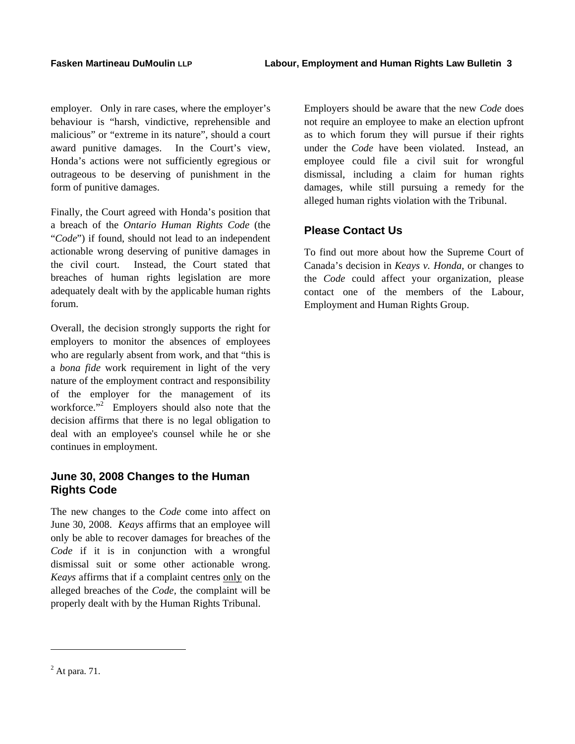employer. Only in rare cases, where the employer's behaviour is "harsh, vindictive, reprehensible and malicious" or "extreme in its nature", should a court award punitive damages. In the Court's view, Honda's actions were not sufficiently egregious or outrageous to be deserving of punishment in the form of punitive damages.

Finally, the Court agreed with Honda's position that a breach of the *Ontario Human Rights Code* (the "*Code*") if found, should not lead to an independent actionable wrong deserving of punitive damages in the civil court. Instead, the Court stated that breaches of human rights legislation are more adequately dealt with by the applicable human rights forum.

Overall, the decision strongly supports the right for employers to monitor the absences of employees who are regularly absent from work, and that "this is a *bona fide* work requirement in light of the very nature of the employment contract and responsibility of the employer for the management of its workforce."<sup>2</sup> Employers should also note that the decision affirms that there is no legal obligation to deal with an employee's counsel while he or she continues in employment.

# **June 30, 2008 Changes to the Human Rights Code**

The new changes to the *Code* come into affect on June 30, 2008. *Keays* affirms that an employee will only be able to recover damages for breaches of the *Code* if it is in conjunction with a wrongful dismissal suit or some other actionable wrong. *Keays* affirms that if a complaint centres only on the alleged breaches of the *Code,* the complaint will be properly dealt with by the Human Rights Tribunal.

Employers should be aware that the new *Code* does not require an employee to make an election upfront as to which forum they will pursue if their rights under the *Code* have been violated. Instead, an employee could file a civil suit for wrongful dismissal, including a claim for human rights damages, while still pursuing a remedy for the alleged human rights violation with the Tribunal.

# **Please Contact Us**

To find out more about how the Supreme Court of Canada's decision in *Keays v. Honda*, or changes to the *Code* could affect your organization, please contact one of the members of the Labour, Employment and Human Rights Group.

1

 $<sup>2</sup>$  At para. 71.</sup>